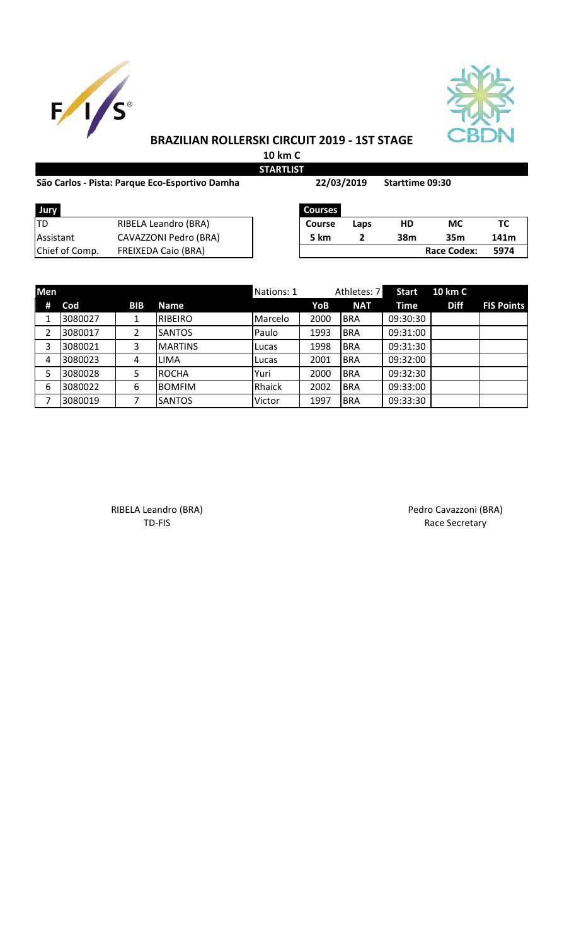



## **BRAZILIAN ROLLERSKI CIRCUIT 2019 - 1ST STAGE**

**10 km C STARTLIST**

## São Carlos - Pista: Parque Eco-Esportivo Damha **Sanda 22/03/2019** Starttime 09:30

**22/03/2019**

| Jury             |                            | <b>Courses</b> |      |     |                    |     |
|------------------|----------------------------|----------------|------|-----|--------------------|-----|
| lTD              | RIBELA Leandro (BRA)       | <b>Course</b>  | Laps | HD  | МC                 | ТС  |
| <b>Assistant</b> | CAVAZZONI Pedro (BRA)      | 5 km           |      | 38m | 35m                | 141 |
| Chief of Comp.   | <b>FREIXEDA Caio (BRA)</b> |                |      |     | <b>Race Codex:</b> | 597 |

| HD  |                    |      |
|-----|--------------------|------|
|     | МC                 |      |
| 38m | 35m                | 141m |
|     | <b>Race Codex:</b> | 5974 |
|     |                    |      |

| <b>Men</b> |         |            |                | Nations: 1 |      | Athletes: 71 | <b>Start</b> | 10 km C     |                   |
|------------|---------|------------|----------------|------------|------|--------------|--------------|-------------|-------------------|
| ₩          | Cod     | <b>BIB</b> | <b>Name</b>    |            | YoB  | <b>NAT</b>   | Time         | <b>Diff</b> | <b>FIS Points</b> |
|            | 3080027 | 1          | <b>RIBEIRO</b> | Marcelo    | 2000 | <b>BRA</b>   | 09:30:30     |             |                   |
| 2          | 3080017 | 2          | <b>SANTOS</b>  | Paulo      | 1993 | <b>BRA</b>   | 09:31:00     |             |                   |
| 3          | 3080021 | 3          | <b>MARTINS</b> | Lucas      | 1998 | <b>BRA</b>   | 09:31:30     |             |                   |
| 4          | 3080023 | 4          | LIMA           | Lucas      | 2001 | <b>BRA</b>   | 09:32:00     |             |                   |
| 5          | 3080028 | 5          | <b>ROCHA</b>   | Yuri       | 2000 | <b>BRA</b>   | 09:32:30     |             |                   |
| 6          | 3080022 | 6          | <b>BOMFIM</b>  | Rhaick     | 2002 | <b>BRA</b>   | 09:33:00     |             |                   |
|            | 3080019 |            | <b>SANTOS</b>  | Victor     | 1997 | <b>BRA</b>   | 09:33:30     |             |                   |

RIBELA Leandro (BRA) **Pedro Cavazzoni** (BRA)

TD-FIS Race Secretary